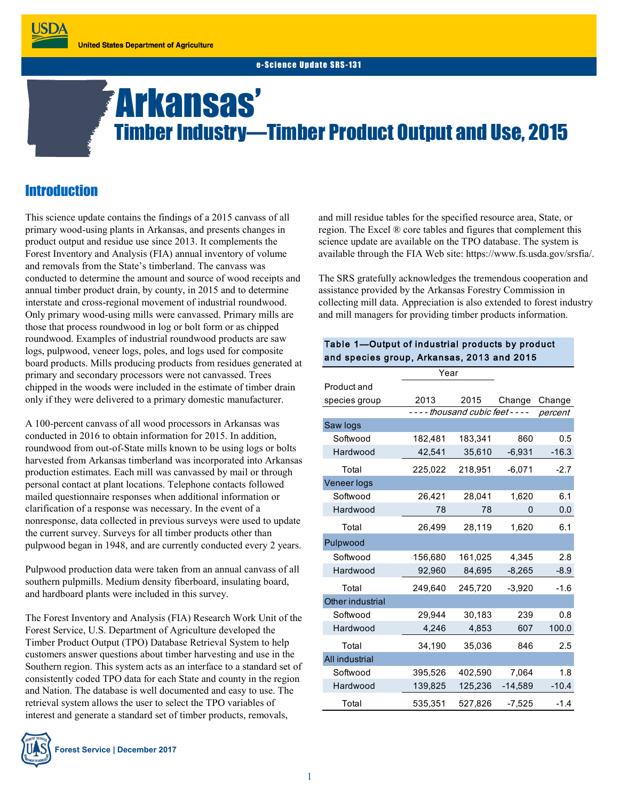e-Science Undate SRS-131

# Arkansas' Timber Industry—Timber Product Output and Use, 2015

# **Introduction**

**JSDA** 

This science update contains the findings of a 2015 canvass of all primary wood-using plants in Arkansas, and presents changes in product output and residue use since 2013. It complements the Forest Inventory and Analysis (FIA) annual inventory of volume and removals from the State's timberland. The canvass was conducted to determine the amount and source of wood receipts and annual timber product drain, by county, in 2015 and to determine interstate and cross-regional movement of industrial roundwood. Only primary wood-using mills were canvassed. Primary mills are those that process roundwood in log or bolt form or as chipped roundwood. Examples of industrial roundwood products are saw logs, pulpwood, veneer logs, poles, and logs used for composite board products. Mills producing products from residues generated at primary and secondary processors were not canvassed. Trees chipped in the woods were included in the estimate of timber drain only if they were delivered to a primary domestic manufacturer.

A 100-percent canvass of all wood processors in Arkansas was conducted in 2016 to obtain information for 2015. In addition, roundwood from out-of-State mills known to be using logs or bolts harvested from Arkansas timberland was incorporated into Arkansas production estimates. Each mill was canvassed by mail or through personal contact at plant locations. Telephone contacts followed mailed questionnaire responses when additional information or clarification of a response was necessary. In the event of a nonresponse, data collected in previous surveys were used to update the current survey. Surveys for all timber products other than pulpwood began in 1948, and are currently conducted every 2 years.

Pulpwood production data were taken from an annual canvass of all southern pulpmills. Medium density fiberboard, insulating board, and hardboard plants were included in this survey.

The Forest Inventory and Analysis (FIA) Research Work Unit of the Forest Service, U.S. Department of Agriculture developed the Timber Product Output (TPO) Database Retrieval System to help customers answer questions about timber harvesting and use in the Southern region. This system acts as an interface to a standard set of consistently coded TPO data for each State and county in the region and Nation. The database is well documented and easy to use. The retrieval system allows the user to select the TPO variables of interest and generate a standard set of timber products, removals,



and mill residue tables for the specified resource area, State, or region. The Excel ® core tables and figures that complement this science update are available on the TPO database. The system is available through the FIA Web site: https://www.fs.usda.gov/srsfia/.

The SRS gratefully acknowledges the tremendous cooperation and assistance provided by the Arkansas Forestry Commission in collecting mill data. Appreciation is also extended to forest industry and mill managers for providing timber products information.

#### Table 1—Output of industrial products by product and species group, Arkansas, 2013 and 2015

|                       | Year                                |         |             |         |
|-----------------------|-------------------------------------|---------|-------------|---------|
| Product and           |                                     |         |             |         |
| species group         | 2013                                | 2015    | Change      | Change  |
|                       | - - - - thousand cubic feet - - - - |         | percent     |         |
| Saw logs              |                                     |         |             |         |
| Softwood              | 182,481                             | 183,341 | 860         | 0.5     |
| Hardwood              | 42,541                              | 35,610  | $-6,931$    | $-16.3$ |
| Total                 | 225,022                             | 218,951 | $-6,071$    | $-2.7$  |
| Veneer logs           |                                     |         |             |         |
| Softwood              | 26,421                              | 28,041  | 1,620       | 6.1     |
| Hardwood              | 78                                  | 78      | $\mathbf 0$ | 0.0     |
| Total                 | 26,499                              | 28,119  | 1,620       | 6.1     |
| Pulpwood              |                                     |         |             |         |
| Softwood              | 156,680                             | 161,025 | 4,345       | 2.8     |
| Hardwood              | 92,960                              | 84,695  | $-8,265$    | $-8.9$  |
| Total                 | 249,640                             | 245,720 | $-3,920$    | $-1.6$  |
| Other industrial      |                                     |         |             |         |
| Softwood              | 29,944                              | 30,183  | 239         | 0.8     |
| Hardwood              | 4,246                               | 4,853   | 607         | 100.0   |
| Total                 | 34,190                              | 35,036  | 846         | 2.5     |
| <b>All industrial</b> |                                     |         |             |         |
| Softwood              | 395,526                             | 402,590 | 7,064       | 1.8     |
| Hardwood              | 139,825                             | 125,236 | $-14,589$   | $-10.4$ |
| Total                 | 535,351                             | 527,826 | $-7,525$    | $-1.4$  |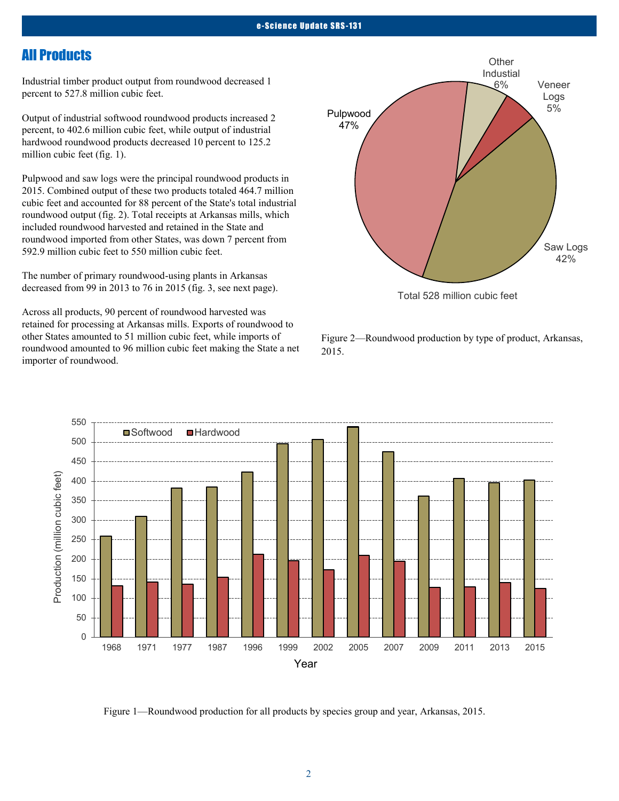## All Products

Industrial timber product output from roundwood decreased 1 percent to 527.8 million cubic feet.

Output of industrial softwood roundwood products increased 2 percent, to 402.6 million cubic feet, while output of industrial hardwood roundwood products decreased 10 percent to 125.2 million cubic feet (fig. 1).

Pulpwood and saw logs were the principal roundwood products in 2015. Combined output of these two products totaled 464.7 million cubic feet and accounted for 88 percent of the State's total industrial roundwood output (fig. 2). Total receipts at Arkansas mills, which included roundwood harvested and retained in the State and roundwood imported from other States, was down 7 percent from 592.9 million cubic feet to 550 million cubic feet.

The number of primary roundwood-using plants in Arkansas decreased from 99 in 2013 to 76 in 2015 (fig. 3, see next page).

Across all products, 90 percent of roundwood harvested was retained for processing at Arkansas mills. Exports of roundwood to other States amounted to 51 million cubic feet, while imports of roundwood amounted to 96 million cubic feet making the State a net importer of roundwood.



Figure 2—Roundwood production by type of product, Arkansas, 2015.



Figure 1—Roundwood production for all products by species group and year, Arkansas, 2015.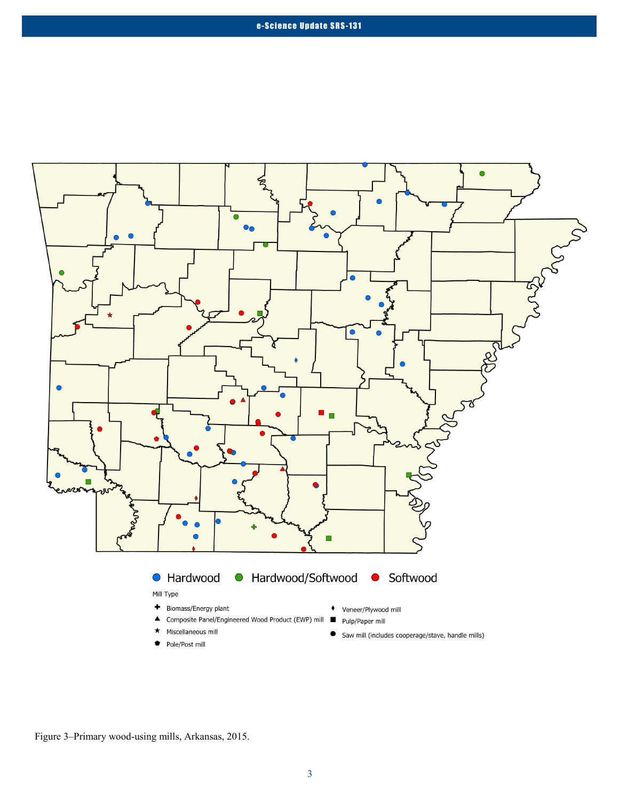

Figure 3–Primary wood-using mills, Arkansas, 2015.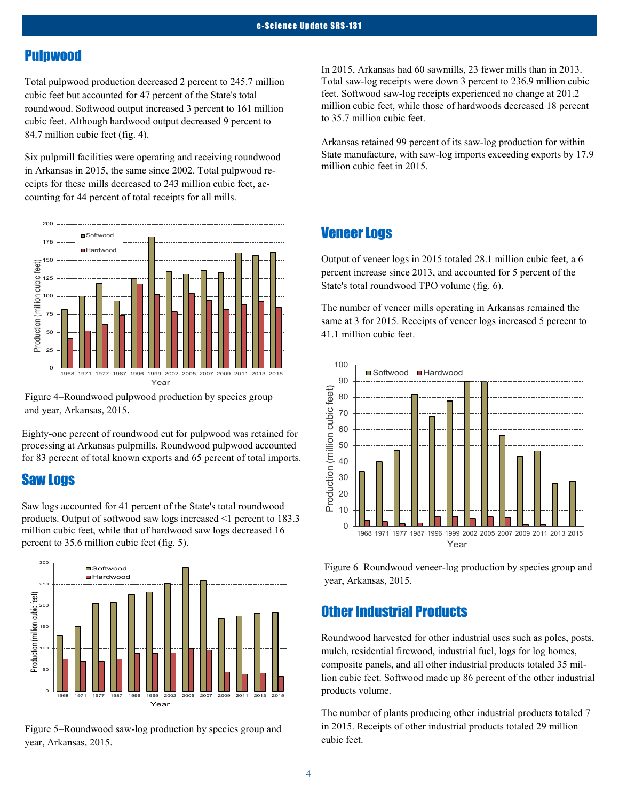## Pulpwood

Total pulpwood production decreased 2 percent to 245.7 million cubic feet but accounted for 47 percent of the State's total roundwood. Softwood output increased 3 percent to 161 million cubic feet. Although hardwood output decreased 9 percent to 84.7 million cubic feet (fig. 4).

Six pulpmill facilities were operating and receiving roundwood in Arkansas in 2015, the same since 2002. Total pulpwood receipts for these mills decreased to 243 million cubic feet, accounting for 44 percent of total receipts for all mills.



Figure 4–Roundwood pulpwood production by species group and year, Arkansas, 2015.

Eighty-one percent of roundwood cut for pulpwood was retained for processing at Arkansas pulpmills. Roundwood pulpwood accounted for 83 percent of total known exports and 65 percent of total imports.

## Saw Logs

Saw logs accounted for 41 percent of the State's total roundwood products. Output of softwood saw logs increased <1 percent to 183.3 million cubic feet, while that of hardwood saw logs decreased 16 percent to 35.6 million cubic feet (fig. 5).



Figure 5–Roundwood saw-log production by species group and year, Arkansas, 2015.

In 2015, Arkansas had 60 sawmills, 23 fewer mills than in 2013. Total saw-log receipts were down 3 percent to 236.9 million cubic feet. Softwood saw-log receipts experienced no change at 201.2 million cubic feet, while those of hardwoods decreased 18 percent to 35.7 million cubic feet.

Arkansas retained 99 percent of its saw-log production for within State manufacture, with saw-log imports exceeding exports by 17.9 million cubic feet in 2015.

### Veneer Logs

Output of veneer logs in 2015 totaled 28.1 million cubic feet, a 6 percent increase since 2013, and accounted for 5 percent of the State's total roundwood TPO volume (fig. 6).

The number of veneer mills operating in Arkansas remained the same at 3 for 2015. Receipts of veneer logs increased 5 percent to 41.1 million cubic feet.



Figure 6–Roundwood veneer-log production by species group and year, Arkansas, 2015.

## Other Industrial Products

Roundwood harvested for other industrial uses such as poles, posts, mulch, residential firewood, industrial fuel, logs for log homes, composite panels, and all other industrial products totaled 35 million cubic feet. Softwood made up 86 percent of the other industrial products volume.

The number of plants producing other industrial products totaled 7 in 2015. Receipts of other industrial products totaled 29 million cubic feet.